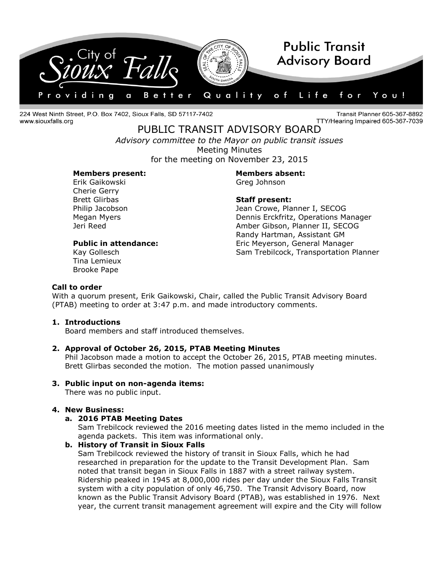

224 West Ninth Street, P.O. Box 7402, Sioux Falls, SD 57117-7402 www.siouxfalls.org

**Transit Planner 605-367-8892** TTY/Hearing Impaired 605-367-7039

PUBLIC TRANSIT ADVISORY BOARD *Advisory committee to the Mayor on public transit issues* Meeting Minutes for the meeting on November 23, 2015

### **Members present: Members absent:**

Erik Gaikowski Greg Johnson Cherie Gerry Brett Glirbas **Staff present:**

Philip Jacobson **Matter Crowe, Planner I, SECOG** Megan Myers Dennis Erckfritz, Operations Manager Jeri Reed Amber Gibson, Planner II, SECOG Randy Hartman, Assistant GM Public in attendance: Eric Meyerson, General Manager Kay Gollesch Sam Trebilcock, Transportation Planner

Tina Lemieux Brooke Pape

### **Call to order**

With a quorum present, Erik Gaikowski, Chair, called the Public Transit Advisory Board (PTAB) meeting to order at 3:47 p.m. and made introductory comments.

## **1. Introductions**

Board members and staff introduced themselves.

## **2. Approval of October 26, 2015, PTAB Meeting Minutes**

Phil Jacobson made a motion to accept the October 26, 2015, PTAB meeting minutes. Brett Glirbas seconded the motion. The motion passed unanimously

## **3. Public input on non-agenda items:**

There was no public input.

## **4. New Business:**

## **a. 2016 PTAB Meeting Dates**

Sam Trebilcock reviewed the 2016 meeting dates listed in the memo included in the agenda packets. This item was informational only.

## **b. History of Transit in Sioux Falls**

Sam Trebilcock reviewed the history of transit in Sioux Falls, which he had researched in preparation for the update to the Transit Development Plan. Sam noted that transit began in Sioux Falls in 1887 with a street railway system. Ridership peaked in 1945 at 8,000,000 rides per day under the Sioux Falls Transit system with a city population of only 46,750. The Transit Advisory Board, now known as the Public Transit Advisory Board (PTAB), was established in 1976. Next year, the current transit management agreement will expire and the City will follow